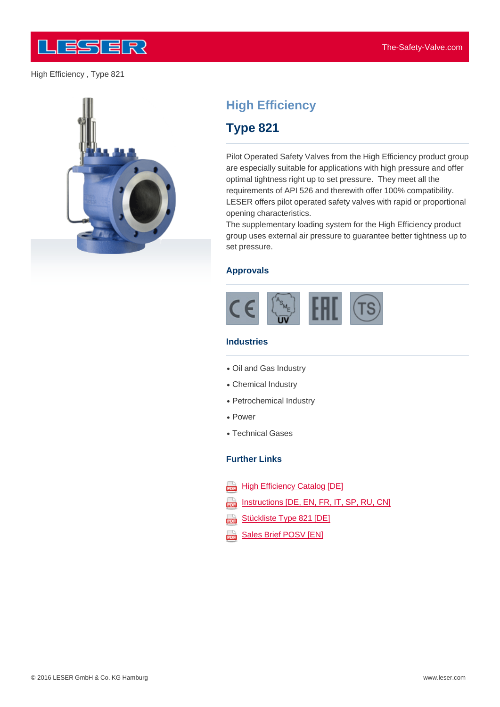

High Efficiency , Type 821



# **High Efficiency**

## **Type 821**

Pilot Operated Safety Valves from the High Efficiency product group are especially suitable for applications with high pressure and offer optimal tightness right up to set pressure. They meet all the requirements of API 526 and therewith offer 100% compatibility. LESER offers pilot operated safety valves with rapid or proportional opening characteristics.

The supplementary loading system for the High Efficiency product group uses external air pressure to guarantee better tightness up to set pressure.

#### **Approvals**



#### **Industries**

- Oil and Gas Industry
- Chemical Industry
- Petrochemical Industry
- Power
- Technical Gases

#### **Further Links**

- **High Efficiency Catalog [DE]**
- Instructions [DE, EN, FR, IT, SP, RU, CN] 202
- Stückliste Type 821 [DE] 203
- aaa **[Sales](http://www.leser.com/fileadmin/content/Download/broschueren&kataloge/Kataloge/High Efficiency/High_Efficiency_Catalog_DE.pdf) [Brief](http://www.leser.com/fileadmin/content/Download/broschueren&kataloge/Kataloge/High Efficiency/High_Efficiency_Catalog_DE.pdf) [PO](http://www.leser.com/fileadmin/content/Download/betriebsanleitungen&technische_infos/Betriebsanleitung_DE_EN_FR_IT_SP_RU_CN_2015.pdf)[S](http://www.leser.com/fileadmin/content/Download/broschueren&kataloge/Kataloge/High Efficiency/High_Efficiency_Catalog_DE.pdf)[V](http://www.leser.com/fileadmin/content/Download/betriebsanleitungen&technische_infos/Betriebsanleitung_DE_EN_FR_IT_SP_RU_CN_2015.pdf) [\[EN\]](http://www.leser.com/fileadmin/content/Download/broschueren&kataloge/Kataloge/High Efficiency/High_Efficiency_Catalog_DE.pdf)**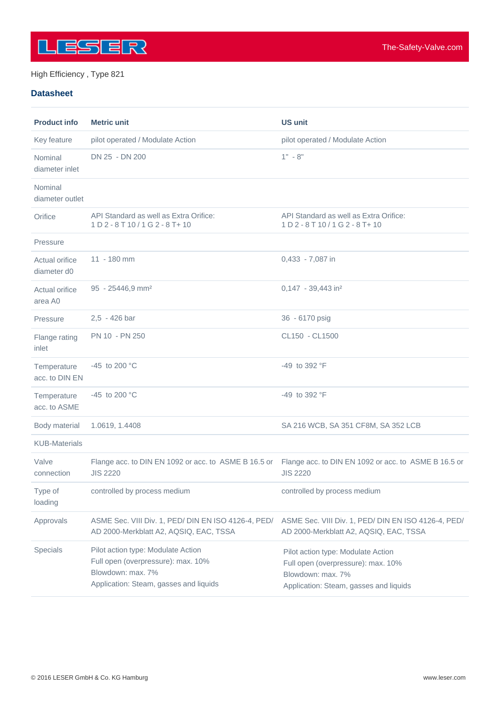

#### High Efficiency , Type 821

#### **Datasheet**

| <b>Product info</b>           | <b>Metric unit</b>                                                                                                                      | <b>US unit</b>                                                                                                                          |
|-------------------------------|-----------------------------------------------------------------------------------------------------------------------------------------|-----------------------------------------------------------------------------------------------------------------------------------------|
| Key feature                   | pilot operated / Modulate Action                                                                                                        | pilot operated / Modulate Action                                                                                                        |
| Nominal<br>diameter inlet     | DN 25 - DN 200                                                                                                                          | $1" - 8"$                                                                                                                               |
| Nominal<br>diameter outlet    |                                                                                                                                         |                                                                                                                                         |
| Orifice                       | API Standard as well as Extra Orifice:<br>1 D 2 - 8 T 10 / 1 G 2 - 8 T + 10                                                             | API Standard as well as Extra Orifice:<br>1 D 2 - 8 T 10 / 1 G 2 - 8 T + 10                                                             |
| Pressure                      |                                                                                                                                         |                                                                                                                                         |
| Actual orifice<br>diameter d0 | 11 - 180 mm                                                                                                                             | 0,433 - 7,087 in                                                                                                                        |
| Actual orifice<br>area A0     | 95 - 25446,9 mm <sup>2</sup>                                                                                                            | 0,147 - 39,443 in <sup>2</sup>                                                                                                          |
| Pressure                      | 2,5 - 426 bar                                                                                                                           | 36 - 6170 psig                                                                                                                          |
| Flange rating<br>inlet        | PN 10 - PN 250                                                                                                                          | CL150 - CL1500                                                                                                                          |
| Temperature<br>acc. to DIN EN | -45 to 200 °C                                                                                                                           | $-49$ to 392 °F                                                                                                                         |
| Temperature<br>acc. to ASME   | -45 to 200 °C                                                                                                                           | $-49$ to 392 °F                                                                                                                         |
| Body material                 | 1.0619, 1.4408                                                                                                                          | SA 216 WCB, SA 351 CF8M, SA 352 LCB                                                                                                     |
| <b>KUB-Materials</b>          |                                                                                                                                         |                                                                                                                                         |
| Valve<br>connection           | Flange acc. to DIN EN 1092 or acc. to ASME B 16.5 or<br><b>JIS 2220</b>                                                                 | Flange acc. to DIN EN 1092 or acc. to ASME B 16.5 or<br><b>JIS 2220</b>                                                                 |
| Type of<br>loading            | controlled by process medium                                                                                                            | controlled by process medium                                                                                                            |
| Approvals                     | ASME Sec. VIII Div. 1, PED/ DIN EN ISO 4126-4, PED/<br>AD 2000-Merkblatt A2, AQSIQ, EAC, TSSA                                           | ASME Sec. VIII Div. 1, PED/ DIN EN ISO 4126-4, PED/<br>AD 2000-Merkblatt A2, AQSIQ, EAC, TSSA                                           |
| Specials                      | Pilot action type: Modulate Action<br>Full open (overpressure): max. 10%<br>Blowdown: max. 7%<br>Application: Steam, gasses and liquids | Pilot action type: Modulate Action<br>Full open (overpressure): max. 10%<br>Blowdown: max. 7%<br>Application: Steam, gasses and liquids |